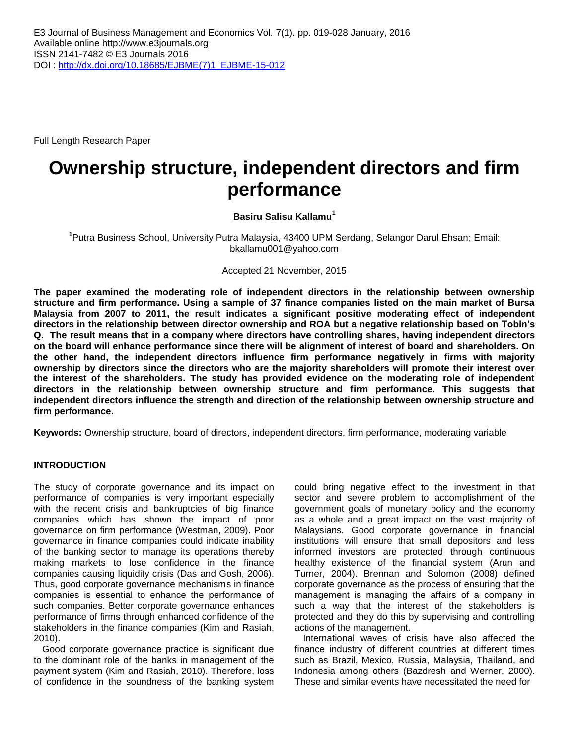Full Length Research Paper

# **Ownership structure, independent directors and firm performance**

# **Basiru Salisu Kallamu<sup>1</sup>**

**1** Putra Business School, University Putra Malaysia, 43400 UPM Serdang, Selangor Darul Ehsan; Email: bkallamu001@yahoo.com

Accepted 21 November, 2015

**The paper examined the moderating role of independent directors in the relationship between ownership structure and firm performance. Using a sample of 37 finance companies listed on the main market of Bursa Malaysia from 2007 to 2011, the result indicates a significant positive moderating effect of independent directors in the relationship between director ownership and ROA but a negative relationship based on Tobin's Q. The result means that in a company where directors have controlling shares, having independent directors on the board will enhance performance since there will be alignment of interest of board and shareholders. On the other hand, the independent directors influence firm performance negatively in firms with majority ownership by directors since the directors who are the majority shareholders will promote their interest over the interest of the shareholders. The study has provided evidence on the moderating role of independent directors in the relationship between ownership structure and firm performance. This suggests that independent directors influence the strength and direction of the relationship between ownership structure and firm performance.** 

**Keywords:** Ownership structure, board of directors, independent directors, firm performance, moderating variable

# **INTRODUCTION**

The study of corporate governance and its impact on performance of companies is very important especially with the recent crisis and bankruptcies of big finance companies which has shown the impact of poor governance on firm performance (Westman, 2009). Poor governance in finance companies could indicate inability of the banking sector to manage its operations thereby making markets to lose confidence in the finance companies causing liquidity crisis (Das and Gosh, 2006). Thus, good corporate governance mechanisms in finance companies is essential to enhance the performance of such companies. Better corporate governance enhances performance of firms through enhanced confidence of the stakeholders in the finance companies (Kim and Rasiah, 2010).

Good corporate governance practice is significant due to the dominant role of the banks in management of the payment system (Kim and Rasiah, 2010). Therefore, loss of confidence in the soundness of the banking system

could bring negative effect to the investment in that sector and severe problem to accomplishment of the government goals of monetary policy and the economy as a whole and a great impact on the vast majority of Malaysians. Good corporate governance in financial institutions will ensure that small depositors and less informed investors are protected through continuous healthy existence of the financial system (Arun and Turner, 2004). Brennan and Solomon (2008) defined corporate governance as the process of ensuring that the management is managing the affairs of a company in such a way that the interest of the stakeholders is protected and they do this by supervising and controlling actions of the management.

International waves of crisis have also affected the finance industry of different countries at different times such as Brazil, Mexico, Russia, Malaysia, Thailand, and Indonesia among others (Bazdresh and Werner, 2000). These and similar events have necessitated the need for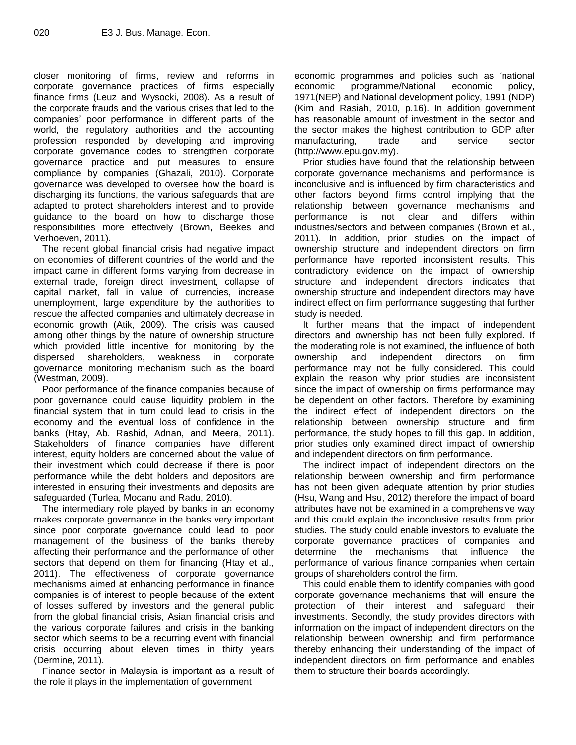closer monitoring of firms, review and reforms in corporate governance practices of firms especially finance firms (Leuz and Wysocki, 2008). As a result of the corporate frauds and the various crises that led to the companies' poor performance in different parts of the world, the regulatory authorities and the accounting profession responded by developing and improving corporate governance codes to strengthen corporate governance practice and put measures to ensure compliance by companies (Ghazali, 2010). Corporate governance was developed to oversee how the board is discharging its functions, the various safeguards that are adapted to protect shareholders interest and to provide guidance to the board on how to discharge those responsibilities more effectively (Brown, Beekes and Verhoeven, 2011).

The recent global financial crisis had negative impact on economies of different countries of the world and the impact came in different forms varying from decrease in external trade, foreign direct investment, collapse of capital market, fall in value of currencies, increase unemployment, large expenditure by the authorities to rescue the affected companies and ultimately decrease in economic growth (Atik, 2009). The crisis was caused among other things by the nature of ownership structure which provided little incentive for monitoring by the dispersed shareholders, weakness in corporate governance monitoring mechanism such as the board (Westman, 2009).

Poor performance of the finance companies because of poor governance could cause liquidity problem in the financial system that in turn could lead to crisis in the economy and the eventual loss of confidence in the banks (Htay, Ab. Rashid, Adnan, and Meera, 2011). Stakeholders of finance companies have different interest, equity holders are concerned about the value of their investment which could decrease if there is poor performance while the debt holders and depositors are interested in ensuring their investments and deposits are safeguarded (Turlea, Mocanu and Radu, 2010).

The intermediary role played by banks in an economy makes corporate governance in the banks very important since poor corporate governance could lead to poor management of the business of the banks thereby affecting their performance and the performance of other sectors that depend on them for financing (Htay et al., 2011). The effectiveness of corporate governance mechanisms aimed at enhancing performance in finance companies is of interest to people because of the extent of losses suffered by investors and the general public from the global financial crisis, Asian financial crisis and the various corporate failures and crisis in the banking sector which seems to be a recurring event with financial crisis occurring about eleven times in thirty years (Dermine, 2011).

Finance sector in Malaysia is important as a result of the role it plays in the implementation of government

economic programmes and policies such as 'national economic programme/National economic policy, 1971(NEP) and National development policy, 1991 (NDP) (Kim and Rasiah, 2010, p.16). In addition government has reasonable amount of investment in the sector and the sector makes the highest contribution to GDP after manufacturing, trade and service sector [\(http://www.epu.gov.my\)](http://www.epu.gov.my/).

Prior studies have found that the relationship between corporate governance mechanisms and performance is inconclusive and is influenced by firm characteristics and other factors beyond firms control implying that the relationship between governance mechanisms and performance is not clear and differs within industries/sectors and between companies (Brown et al., 2011). In addition, prior studies on the impact of ownership structure and independent directors on firm performance have reported inconsistent results. This contradictory evidence on the impact of ownership structure and independent directors indicates that ownership structure and independent directors may have indirect effect on firm performance suggesting that further study is needed.

It further means that the impact of independent directors and ownership has not been fully explored. If the moderating role is not examined, the influence of both ownership and independent directors on firm performance may not be fully considered. This could explain the reason why prior studies are inconsistent since the impact of ownership on firms performance may be dependent on other factors. Therefore by examining the indirect effect of independent directors on the relationship between ownership structure and firm performance, the study hopes to fill this gap. In addition, prior studies only examined direct impact of ownership and independent directors on firm performance.

The indirect impact of independent directors on the relationship between ownership and firm performance has not been given adequate attention by prior studies (Hsu, Wang and Hsu, 2012) therefore the impact of board attributes have not be examined in a comprehensive way and this could explain the inconclusive results from prior studies. The study could enable investors to evaluate the corporate governance practices of companies and determine the mechanisms that influence the performance of various finance companies when certain groups of shareholders control the firm.

This could enable them to identify companies with good corporate governance mechanisms that will ensure the protection of their interest and safeguard their investments. Secondly, the study provides directors with information on the impact of independent directors on the relationship between ownership and firm performance thereby enhancing their understanding of the impact of independent directors on firm performance and enables them to structure their boards accordingly.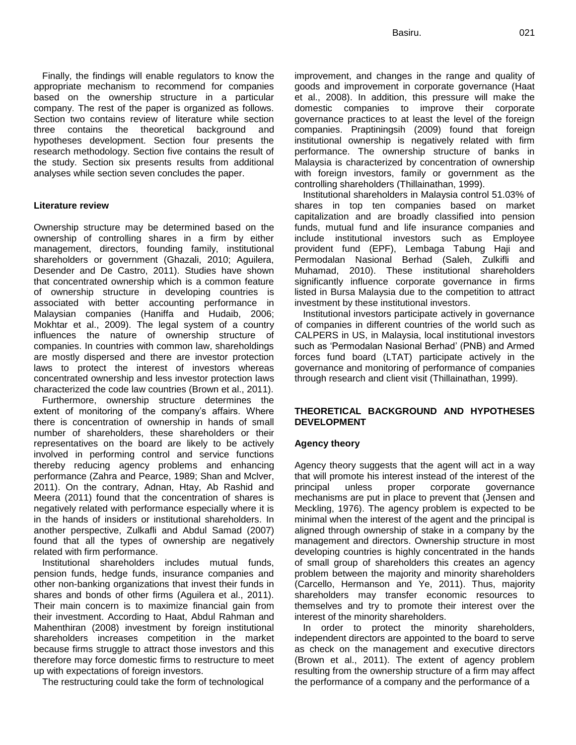Finally, the findings will enable regulators to know the appropriate mechanism to recommend for companies based on the ownership structure in a particular company. The rest of the paper is organized as follows. Section two contains review of literature while section three contains the theoretical background and hypotheses development. Section four presents the research methodology. Section five contains the result of the study. Section six presents results from additional analyses while section seven concludes the paper.

## **Literature review**

Ownership structure may be determined based on the ownership of controlling shares in a firm by either management, directors, founding family, institutional shareholders or government (Ghazali, 2010; Aguilera, Desender and De Castro, 2011). Studies have shown that concentrated ownership which is a common feature of ownership structure in developing countries is associated with better accounting performance in Malaysian companies (Haniffa and Hudaib, 2006; Mokhtar et al., 2009). The legal system of a country influences the nature of ownership structure of companies. In countries with common law, shareholdings are mostly dispersed and there are investor protection laws to protect the interest of investors whereas concentrated ownership and less investor protection laws characterized the code law countries (Brown et al., 2011).

Furthermore, ownership structure determines the extent of monitoring of the company's affairs. Where there is concentration of ownership in hands of small number of shareholders, these shareholders or their representatives on the board are likely to be actively involved in performing control and service functions thereby reducing agency problems and enhancing performance (Zahra and Pearce, 1989; Shan and Mclver, 2011). On the contrary, Adnan, Htay, Ab Rashid and Meera (2011) found that the concentration of shares is negatively related with performance especially where it is in the hands of insiders or institutional shareholders. In another perspective, Zulkafli and Abdul Samad (2007) found that all the types of ownership are negatively related with firm performance.

Institutional shareholders includes mutual funds, pension funds, hedge funds, insurance companies and other non-banking organizations that invest their funds in shares and bonds of other firms (Aguilera et al., 2011). Their main concern is to maximize financial gain from their investment. According to Haat, Abdul Rahman and Mahenthiran (2008) investment by foreign institutional shareholders increases competition in the market because firms struggle to attract those investors and this therefore may force domestic firms to restructure to meet up with expectations of foreign investors.

The restructuring could take the form of technological

improvement, and changes in the range and quality of goods and improvement in corporate governance (Haat et al., 2008). In addition, this pressure will make the domestic companies to improve their corporate governance practices to at least the level of the foreign companies. Praptiningsih (2009) found that foreign institutional ownership is negatively related with firm performance. The ownership structure of banks in Malaysia is characterized by concentration of ownership with foreign investors, family or government as the controlling shareholders (Thillainathan, 1999).

Institutional shareholders in Malaysia control 51.03% of shares in top ten companies based on market capitalization and are broadly classified into pension funds, mutual fund and life insurance companies and include institutional investors such as Employee provident fund (EPF), Lembaga Tabung Haji and Permodalan Nasional Berhad (Saleh, Zulkifli and Muhamad, 2010). These institutional shareholders significantly influence corporate governance in firms listed in Bursa Malaysia due to the competition to attract investment by these institutional investors.

Institutional investors participate actively in governance of companies in different countries of the world such as CALPERS in US, in Malaysia, local institutional investors such as 'Permodalan Nasional Berhad' (PNB) and Armed forces fund board (LTAT) participate actively in the governance and monitoring of performance of companies through research and client visit (Thillainathan, 1999).

# **THEORETICAL BACKGROUND AND HYPOTHESES DEVELOPMENT**

## **Agency theory**

Agency theory suggests that the agent will act in a way that will promote his interest instead of the interest of the principal unless proper corporate governance mechanisms are put in place to prevent that (Jensen and Meckling, 1976). The agency problem is expected to be minimal when the interest of the agent and the principal is aligned through ownership of stake in a company by the management and directors. Ownership structure in most developing countries is highly concentrated in the hands of small group of shareholders this creates an agency problem between the majority and minority shareholders (Carcello, Hermanson and Ye, 2011). Thus, majority shareholders may transfer economic resources to themselves and try to promote their interest over the interest of the minority shareholders.

In order to protect the minority shareholders, independent directors are appointed to the board to serve as check on the management and executive directors (Brown et al., 2011). The extent of agency problem resulting from the ownership structure of a firm may affect the performance of a company and the performance of a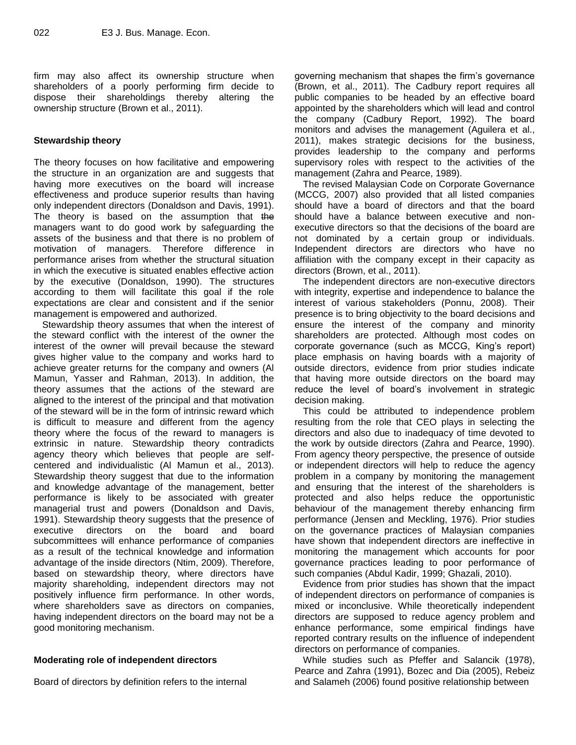firm may also affect its ownership structure when shareholders of a poorly performing firm decide to dispose their shareholdings thereby altering the ownership structure (Brown et al., 2011).

# **Stewardship theory**

The theory focuses on how facilitative and empowering the structure in an organization are and suggests that having more executives on the board will increase effectiveness and produce superior results than having only independent directors (Donaldson and Davis, 1991). The theory is based on the assumption that the managers want to do good work by safeguarding the assets of the business and that there is no problem of motivation of managers. Therefore difference in performance arises from whether the structural situation in which the executive is situated enables effective action by the executive (Donaldson, 1990). The structures according to them will facilitate this goal if the role expectations are clear and consistent and if the senior management is empowered and authorized.

Stewardship theory assumes that when the interest of the steward conflict with the interest of the owner the interest of the owner will prevail because the steward gives higher value to the company and works hard to achieve greater returns for the company and owners (Al Mamun, Yasser and Rahman, 2013). In addition, the theory assumes that the actions of the steward are aligned to the interest of the principal and that motivation of the steward will be in the form of intrinsic reward which is difficult to measure and different from the agency theory where the focus of the reward to managers is extrinsic in nature. Stewardship theory contradicts agency theory which believes that people are selfcentered and individualistic (Al Mamun et al., 2013). Stewardship theory suggest that due to the information and knowledge advantage of the management, better performance is likely to be associated with greater managerial trust and powers (Donaldson and Davis, 1991). Stewardship theory suggests that the presence of executive directors on the board and board subcommittees will enhance performance of companies as a result of the technical knowledge and information advantage of the inside directors (Ntim, 2009). Therefore, based on stewardship theory, where directors have majority shareholding, independent directors may not positively influence firm performance. In other words, where shareholders save as directors on companies, having independent directors on the board may not be a good monitoring mechanism.

# **Moderating role of independent directors**

Board of directors by definition refers to the internal

governing mechanism that shapes the firm's governance (Brown, et al., 2011). The Cadbury report requires all public companies to be headed by an effective board appointed by the shareholders which will lead and control the company (Cadbury Report, 1992). The board monitors and advises the management (Aguilera et al., 2011), makes strategic decisions for the business, provides leadership to the company and performs supervisory roles with respect to the activities of the management (Zahra and Pearce, 1989).

The revised Malaysian Code on Corporate Governance (MCCG, 2007) also provided that all listed companies should have a board of directors and that the board should have a balance between executive and nonexecutive directors so that the decisions of the board are not dominated by a certain group or individuals. Independent directors are directors who have no affiliation with the company except in their capacity as directors (Brown, et al., 2011).

The independent directors are non-executive directors with integrity, expertise and independence to balance the interest of various stakeholders (Ponnu, 2008). Their presence is to bring objectivity to the board decisions and ensure the interest of the company and minority shareholders are protected. Although most codes on corporate governance (such as MCCG, King's report) place emphasis on having boards with a majority of outside directors, evidence from prior studies indicate that having more outside directors on the board may reduce the level of board's involvement in strategic decision making.

This could be attributed to independence problem resulting from the role that CEO plays in selecting the directors and also due to inadequacy of time devoted to the work by outside directors (Zahra and Pearce, 1990). From agency theory perspective, the presence of outside or independent directors will help to reduce the agency problem in a company by monitoring the management and ensuring that the interest of the shareholders is protected and also helps reduce the opportunistic behaviour of the management thereby enhancing firm performance (Jensen and Meckling, 1976). Prior studies on the governance practices of Malaysian companies have shown that independent directors are ineffective in monitoring the management which accounts for poor governance practices leading to poor performance of such companies (Abdul Kadir, 1999; Ghazali, 2010).

Evidence from prior studies has shown that the impact of independent directors on performance of companies is mixed or inconclusive. While theoretically independent directors are supposed to reduce agency problem and enhance performance, some empirical findings have reported contrary results on the influence of independent directors on performance of companies.

While studies such as Pfeffer and Salancik (1978), Pearce and Zahra (1991), Bozec and Dia (2005), Rebeiz and Salameh (2006) found positive relationship between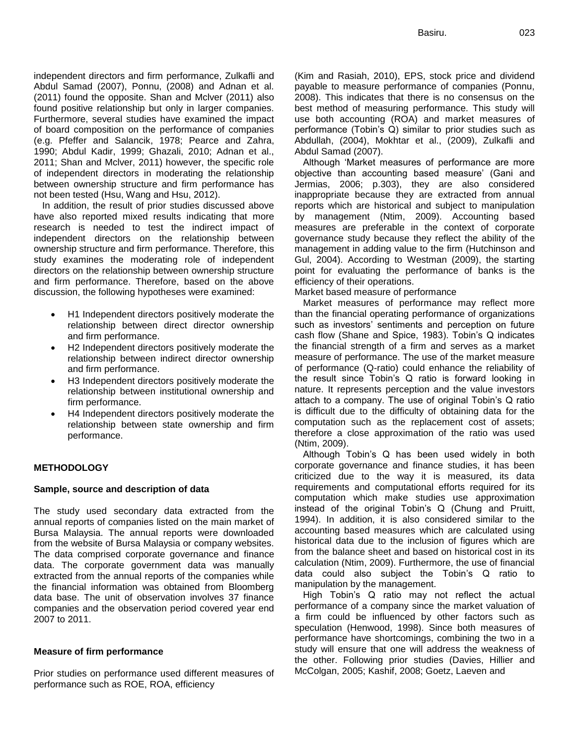independent directors and firm performance, Zulkafli and Abdul Samad (2007), Ponnu, (2008) and Adnan et al. (2011) found the opposite. Shan and Mclver (2011) also found positive relationship but only in larger companies. Furthermore, several studies have examined the impact of board composition on the performance of companies (e.g. Pfeffer and Salancik, 1978; Pearce and Zahra, 1990; Abdul Kadir, 1999; Ghazali, 2010; Adnan et al., 2011; Shan and Mclver, 2011) however, the specific role of independent directors in moderating the relationship between ownership structure and firm performance has not been tested (Hsu, Wang and Hsu, 2012).

In addition, the result of prior studies discussed above have also reported mixed results indicating that more research is needed to test the indirect impact of independent directors on the relationship between ownership structure and firm performance. Therefore, this study examines the moderating role of independent directors on the relationship between ownership structure and firm performance. Therefore, based on the above discussion, the following hypotheses were examined:

- H1 Independent directors positively moderate the relationship between direct director ownership and firm performance.
- H2 Independent directors positively moderate the relationship between indirect director ownership and firm performance.
- H3 Independent directors positively moderate the relationship between institutional ownership and firm performance.
- H4 Independent directors positively moderate the relationship between state ownership and firm performance.

## **METHODOLOGY**

#### **Sample, source and description of data**

The study used secondary data extracted from the annual reports of companies listed on the main market of Bursa Malaysia. The annual reports were downloaded from the website of Bursa Malaysia or company websites. The data comprised corporate governance and finance data. The corporate government data was manually extracted from the annual reports of the companies while the financial information was obtained from Bloomberg data base. The unit of observation involves 37 finance companies and the observation period covered year end 2007 to 2011.

#### **Measure of firm performance**

Prior studies on performance used different measures of performance such as ROE, ROA, efficiency

(Kim and Rasiah, 2010), EPS, stock price and dividend payable to measure performance of companies (Ponnu, 2008). This indicates that there is no consensus on the best method of measuring performance. This study will use both accounting (ROA) and market measures of performance (Tobin's Q) similar to prior studies such as Abdullah, (2004), Mokhtar et al., (2009), Zulkafli and Abdul Samad (2007).

Although 'Market measures of performance are more objective than accounting based measure' (Gani and Jermias, 2006; p.303), they are also considered inappropriate because they are extracted from annual reports which are historical and subject to manipulation by management (Ntim, 2009). Accounting based measures are preferable in the context of corporate governance study because they reflect the ability of the management in adding value to the firm (Hutchinson and Gul, 2004). According to Westman (2009), the starting point for evaluating the performance of banks is the efficiency of their operations.

Market based measure of performance

Market measures of performance may reflect more than the financial operating performance of organizations such as investors' sentiments and perception on future cash flow (Shane and Spice, 1983). Tobin's Q indicates the financial strength of a firm and serves as a market measure of performance. The use of the market measure of performance (Q-ratio) could enhance the reliability of the result since Tobin's Q ratio is forward looking in nature. It represents perception and the value investors attach to a company. The use of original Tobin's Q ratio is difficult due to the difficulty of obtaining data for the computation such as the replacement cost of assets; therefore a close approximation of the ratio was used (Ntim, 2009).

Although Tobin's Q has been used widely in both corporate governance and finance studies, it has been criticized due to the way it is measured, its data requirements and computational efforts required for its computation which make studies use approximation instead of the original Tobin's Q (Chung and Pruitt, 1994). In addition, it is also considered similar to the accounting based measures which are calculated using historical data due to the inclusion of figures which are from the balance sheet and based on historical cost in its calculation (Ntim, 2009). Furthermore, the use of financial data could also subject the Tobin's Q ratio to manipulation by the management.

High Tobin's Q ratio may not reflect the actual performance of a company since the market valuation of a firm could be influenced by other factors such as speculation (Henwood, 1998). Since both measures of performance have shortcomings, combining the two in a study will ensure that one will address the weakness of the other. Following prior studies (Davies, Hillier and McColgan, 2005; Kashif, 2008; Goetz, Laeven and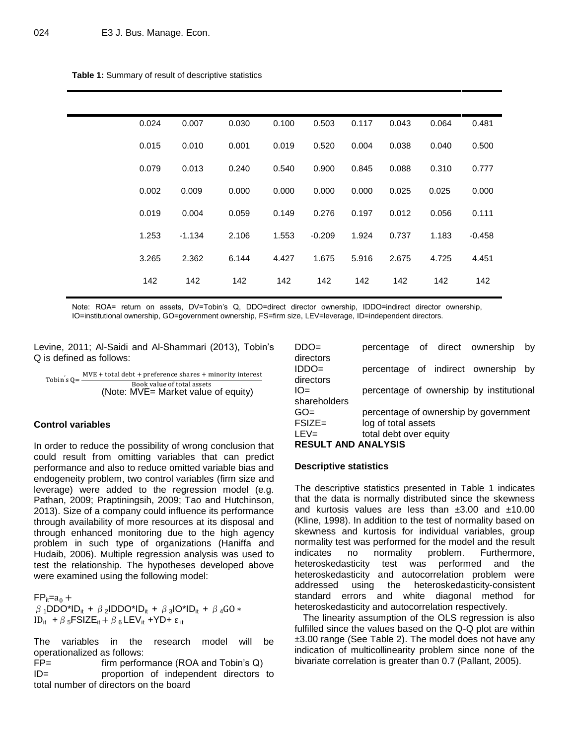| Table 1: Summary of result of descriptive statistics |
|------------------------------------------------------|
|------------------------------------------------------|

| 0.024 | 0.007    | 0.030 | 0.100 | 0.503    | 0.117 | 0.043 | 0.064 | 0.481    |
|-------|----------|-------|-------|----------|-------|-------|-------|----------|
| 0.015 | 0.010    | 0.001 | 0.019 | 0.520    | 0.004 | 0.038 | 0.040 | 0.500    |
| 0.079 | 0.013    | 0.240 | 0.540 | 0.900    | 0.845 | 0.088 | 0.310 | 0.777    |
| 0.002 | 0.009    | 0.000 | 0.000 | 0.000    | 0.000 | 0.025 | 0.025 | 0.000    |
| 0.019 | 0.004    | 0.059 | 0.149 | 0.276    | 0.197 | 0.012 | 0.056 | 0.111    |
| 1.253 | $-1.134$ | 2.106 | 1.553 | $-0.209$ | 1.924 | 0.737 | 1.183 | $-0.458$ |
| 3.265 | 2.362    | 6.144 | 4.427 | 1.675    | 5.916 | 2.675 | 4.725 | 4.451    |
| 142   | 142      | 142   | 142   | 142      | 142   | 142   | 142   | 142      |
|       |          |       |       |          |       |       |       |          |

Note: ROA= return on assets, DV=Tobin's Q, DDO=direct director ownership, IDDO=indirect director ownership, IO=institutional ownership, GO=government ownership, FS=firm size, LEV=leverage, ID=independent directors.

Levine, 2011; Al-Saidi and Al-Shammari (2013), Tobin's Q is defined as follows:

Tobin's 
$$
Q = \frac{MVE + total debt + preference shares + minority interest  
\nBook value of total assets
$$

\n(Note: MVE = Market value of equity)

## **Control variables**

In order to reduce the possibility of wrong conclusion that could result from omitting variables that can predict performance and also to reduce omitted variable bias and endogeneity problem, two control variables (firm size and leverage) were added to the regression model (e.g. Pathan, 2009; Praptiningsih, 2009; Tao and Hutchinson, 2013). Size of a company could influence its performance through availability of more resources at its disposal and through enhanced monitoring due to the high agency problem in such type of organizations (Haniffa and Hudaib, 2006). Multiple regression analysis was used to test the relationship. The hypotheses developed above were examined using the following model:

 $FP_{it}=a_0 +$  $\beta$ <sub>1</sub>DDO\*ID<sub>it</sub> +  $\beta$ <sub>2</sub>IDDO\*ID<sub>it</sub> +  $\beta$ <sub>3</sub>IO\*ID<sub>it</sub> +  $\beta$ <sub>4</sub>GO \* ID<sub>it</sub> +  $\beta$  <sub>5</sub>FSIZE<sub>it</sub> +  $\beta$  <sub>6</sub> LEV<sub>it</sub> +YD+  $\varepsilon$ <sub>it</sub>

The variables in the research model will be operationalized as follows:

FP= firm performance (ROA and Tobin's Q) ID= proportion of independent directors to total number of directors on the board

| $DDO=$                        | percentage of direct ownership |  |                                          | bv |
|-------------------------------|--------------------------------|--|------------------------------------------|----|
| directors                     |                                |  |                                          |    |
| IDDO=                         |                                |  | percentage of indirect ownership         | bv |
| directors                     |                                |  |                                          |    |
| IO=                           |                                |  | percentage of ownership by institutional |    |
| shareholders                  |                                |  |                                          |    |
| GO=                           |                                |  | percentage of ownership by government    |    |
| FSIZE=                        | log of total assets            |  |                                          |    |
| LEV=                          | total debt over equity         |  |                                          |    |
| <b>DECIII T AND ANAI VOIC</b> |                                |  |                                          |    |

# **RESULT AND ANALYSIS**

### **Descriptive statistics**

The descriptive statistics presented in Table 1 indicates that the data is normally distributed since the skewness and kurtosis values are less than  $\pm 3.00$  and  $\pm 10.00$ (Kline, 1998). In addition to the test of normality based on skewness and kurtosis for individual variables, group normality test was performed for the model and the result indicates no normality problem. Furthermore, heteroskedasticity test was performed and the heteroskedasticity and autocorrelation problem were addressed using the heteroskedasticity-consistent standard errors and white diagonal method for heteroskedasticity and autocorrelation respectively.

The linearity assumption of the OLS regression is also fulfilled since the values based on the Q-Q plot are within ±3.00 range (See Table 2). The model does not have any indication of multicollinearity problem since none of the bivariate correlation is greater than 0.7 (Pallant, 2005).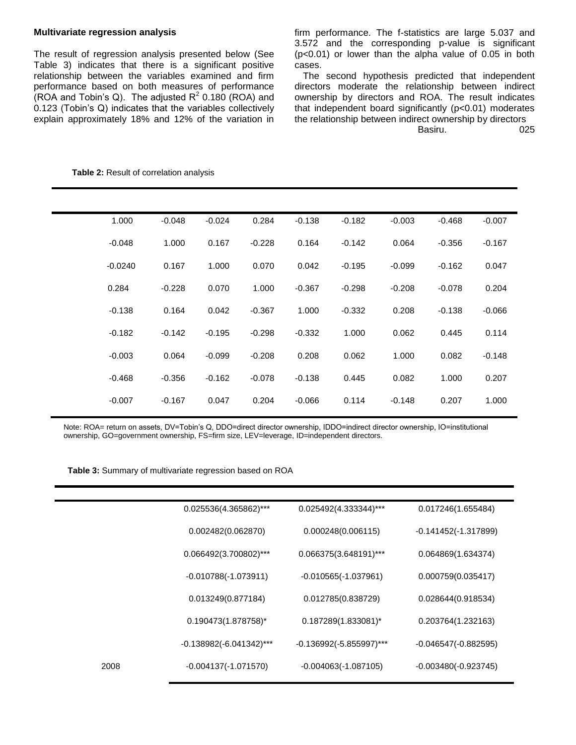## **Multivariate regression analysis**

The result of regression analysis presented below (See Table 3) indicates that there is a significant positive relationship between the variables examined and firm performance based on both measures of performance (ROA and Tobin's Q). The adjusted  $R^2$  0.180 (ROA) and 0.123 (Tobin's Q) indicates that the variables collectively explain approximately 18% and 12% of the variation in firm performance. The f-statistics are large 5.037 and 3.572 and the corresponding p-value is significant (p<0.01) or lower than the alpha value of 0.05 in both cases.

The second hypothesis predicted that independent directors moderate the relationship between indirect ownership by directors and ROA. The result indicates that independent board significantly (p<0.01) moderates the relationship between indirect ownership by directors

Basiru. 025

| 1.000     | $-0.048$ | $-0.024$ | 0.284    | $-0.138$ | $-0.182$ | $-0.003$ | $-0.468$ | $-0.007$ |
|-----------|----------|----------|----------|----------|----------|----------|----------|----------|
| $-0.048$  | 1.000    | 0.167    | $-0.228$ | 0.164    | $-0.142$ | 0.064    | $-0.356$ | $-0.167$ |
| $-0.0240$ | 0.167    | 1.000    | 0.070    | 0.042    | $-0.195$ | $-0.099$ | $-0.162$ | 0.047    |
| 0.284     | $-0.228$ | 0.070    | 1.000    | $-0.367$ | $-0.298$ | $-0.208$ | $-0.078$ | 0.204    |
| $-0.138$  | 0.164    | 0.042    | $-0.367$ | 1.000    | $-0.332$ | 0.208    | $-0.138$ | $-0.066$ |
| $-0.182$  | $-0.142$ | $-0.195$ | $-0.298$ | $-0.332$ | 1.000    | 0.062    | 0.445    | 0.114    |
| $-0.003$  | 0.064    | $-0.099$ | $-0.208$ | 0.208    | 0.062    | 1.000    | 0.082    | $-0.148$ |
| $-0.468$  | $-0.356$ | $-0.162$ | $-0.078$ | $-0.138$ | 0.445    | 0.082    | 1.000    | 0.207    |
| $-0.007$  | $-0.167$ | 0.047    | 0.204    | $-0.066$ | 0.114    | $-0.148$ | 0.207    | 1.000    |

**Table 2:** Result of correlation analysis

Note: ROA= return on assets, DV=Tobin's Q, DDO=direct director ownership, IDDO=indirect director ownership, IO=institutional ownership, GO=government ownership, FS=firm size, LEV=leverage, ID=independent directors.

|  | Table 3: Summary of multivariate regression based on ROA |  |
|--|----------------------------------------------------------|--|
|--|----------------------------------------------------------|--|

|      | 0.025536(4.365862)***      | 0.025492(4.333344)***      | 0.017246(1.655484)     |
|------|----------------------------|----------------------------|------------------------|
|      | 0.002482(0.062870)         | 0.000248(0.006115)         | $-0.141452(-1.317899)$ |
|      | 0.066492(3.700802)***      | 0.066375(3.648191)***      | 0.064869(1.634374)     |
|      | $-0.010788(-1.073911)$     | $-0.010565(-1.037961)$     | 0.000759(0.035417)     |
|      | 0.013249(0.877184)         | 0.012785(0.838729)         | 0.028644(0.918534)     |
|      | 0.190473(1.878758)*        | 0.187289(1.833081)*        | 0.203764(1.232163)     |
|      | $-0.138982(-6.041342)$ *** | $-0.136992(-5.855997)$ *** | $-0.046547(-0.882595)$ |
| 2008 | $-0.004137(-1.071570)$     | $-0.004063(-1.087105)$     | $-0.003480(-0.923745)$ |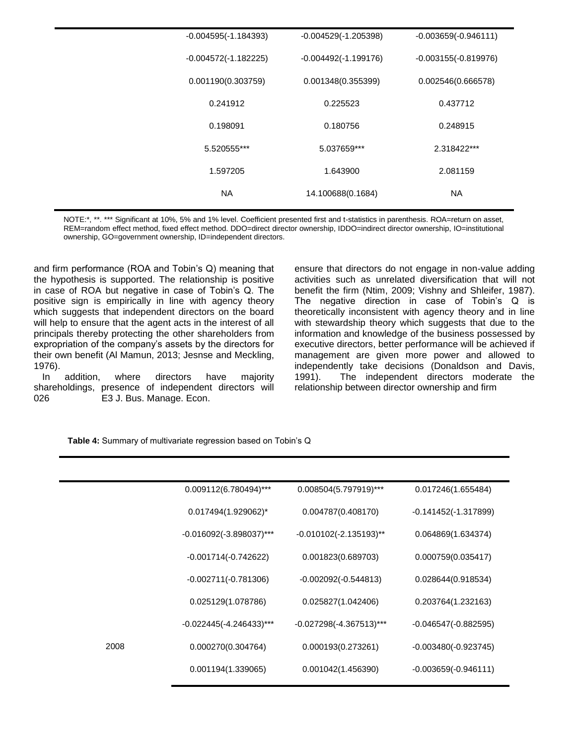| $-0.004595(-1.184393)$ | $-0.004529(-1.205398)$ | $-0.003659(-0.946111)$ |
|------------------------|------------------------|------------------------|
| $-0.004572(-1.182225)$ | $-0.004492(-1.199176)$ | $-0.003155(-0.819976)$ |
| 0.001190(0.303759)     | 0.001348(0.355399)     | 0.002546(0.666578)     |
| 0.241912               | 0.225523               | 0.437712               |
| 0.198091               | 0.180756               | 0.248915               |
| 5.520555***            | 5.037659***            | 2.318422***            |
| 1.597205               | 1.643900               | 2.081159               |
| <b>NA</b>              | 14.100688(0.1684)      | <b>NA</b>              |
|                        |                        |                        |

NOTE:\*, \*\*. \*\*\* Significant at 10%, 5% and 1% level. Coefficient presented first and t-statistics in parenthesis. ROA=return on asset, REM=random effect method, fixed effect method. DDO=direct director ownership, IDDO=indirect director ownership, IO=institutional ownership, GO=government ownership, ID=independent directors.

and firm performance (ROA and Tobin's Q) meaning that the hypothesis is supported. The relationship is positive in case of ROA but negative in case of Tobin's Q. The positive sign is empirically in line with agency theory which suggests that independent directors on the board will help to ensure that the agent acts in the interest of all principals thereby protecting the other shareholders from expropriation of the company's assets by the directors for their own benefit (Al Mamun, 2013; Jesnse and Meckling, 1976).

In addition, where directors have majority shareholdings, presence of independent directors will 026 E3 J. Bus. Manage. Econ.

ensure that directors do not engage in non-value adding activities such as unrelated diversification that will not benefit the firm (Ntim, 2009; Vishny and Shleifer, 1987). The negative direction in case of Tobin's Q is theoretically inconsistent with agency theory and in line with stewardship theory which suggests that due to the information and knowledge of the business possessed by executive directors, better performance will be achieved if management are given more power and allowed to independently take decisions (Donaldson and Davis, 1991). The independent directors moderate the relationship between director ownership and firm

**Table 4:** Summary of multivariate regression based on Tobin's Q

| $0.008504(5.797919)$ ***<br>0.017246(1.655484)       |
|------------------------------------------------------|
| 0.004787(0.408170)<br>$-0.141452(-1.317899)$         |
| $-0.010102(-2.135193)$ **<br>0.064869(1.634374)      |
| 0.001823(0.689703)<br>0.000759(0.035417)             |
| $-0.002092(-0.544813)$<br>0.028644(0.918534)         |
| 0.025827(1.042406)<br>0.203764(1.232163)             |
| $-0.027298(-4.367513)$ ***<br>$-0.046547(-0.882595)$ |
| 0.000193(0.273261)<br>$-0.003480(-0.923745)$         |
| 0.001042(1.456390)<br>$-0.003659(-0.946111)$         |
|                                                      |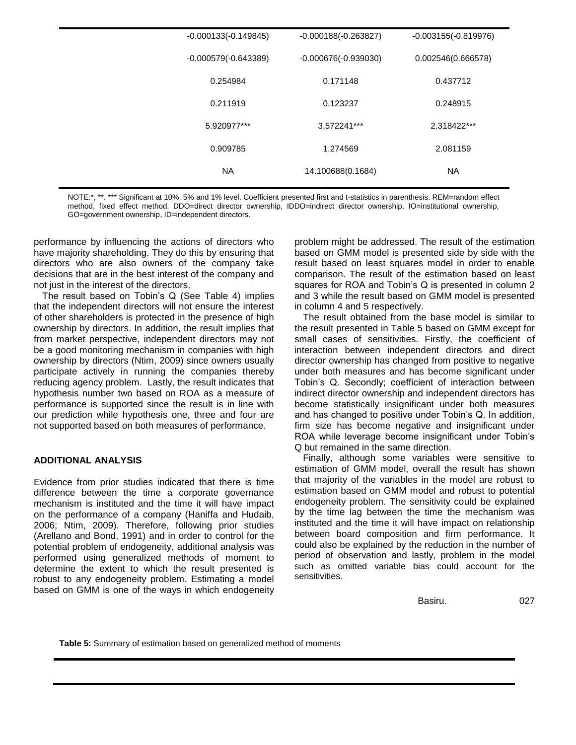| $-0.000133(-0.149845)$ | $-0.000188(-0.263827)$ | $-0.003155(-0.819976)$ |
|------------------------|------------------------|------------------------|
| $-0.000579(-0.643389)$ | $-0.000676(-0.939030)$ | 0.002546(0.666578)     |
| 0.254984               | 0.171148               | 0.437712               |
| 0.211919               | 0.123237               | 0.248915               |
| 5.920977***            | 3.572241***            | 2.318422***            |
| 0.909785               | 1.274569               | 2.081159               |
| <b>NA</b>              | 14.100688(0.1684)      | <b>NA</b>              |
|                        |                        |                        |

NOTE:\*, \*\*. \*\*\* Significant at 10%, 5% and 1% level. Coefficient presented first and t-statistics in parenthesis. REM=random effect method, fixed effect method. DDO=direct director ownership, IDDO=indirect director ownership, IO=institutional ownership, GO=government ownership, ID=independent directors.

performance by influencing the actions of directors who have majority shareholding. They do this by ensuring that directors who are also owners of the company take decisions that are in the best interest of the company and not just in the interest of the directors.

The result based on Tobin's Q (See Table 4) implies that the independent directors will not ensure the interest of other shareholders is protected in the presence of high ownership by directors. In addition, the result implies that from market perspective, independent directors may not be a good monitoring mechanism in companies with high ownership by directors (Ntim, 2009) since owners usually participate actively in running the companies thereby reducing agency problem. Lastly, the result indicates that hypothesis number two based on ROA as a measure of performance is supported since the result is in line with our prediction while hypothesis one, three and four are not supported based on both measures of performance.

# **ADDITIONAL ANALYSIS**

Evidence from prior studies indicated that there is time difference between the time a corporate governance mechanism is instituted and the time it will have impact on the performance of a company (Haniffa and Hudaib, 2006; Ntim, 2009). Therefore, following prior studies (Arellano and Bond, 1991) and in order to control for the potential problem of endogeneity, additional analysis was performed using generalized methods of moment to determine the extent to which the result presented is robust to any endogeneity problem. Estimating a model based on GMM is one of the ways in which endogeneity

problem might be addressed. The result of the estimation based on GMM model is presented side by side with the result based on least squares model in order to enable comparison. The result of the estimation based on least squares for ROA and Tobin's Q is presented in column 2 and 3 while the result based on GMM model is presented in column 4 and 5 respectively.

The result obtained from the base model is similar to the result presented in Table 5 based on GMM except for small cases of sensitivities. Firstly, the coefficient of interaction between independent directors and direct director ownership has changed from positive to negative under both measures and has become significant under Tobin's Q. Secondly; coefficient of interaction between indirect director ownership and independent directors has become statistically insignificant under both measures and has changed to positive under Tobin's Q. In addition, firm size has become negative and insignificant under ROA while leverage become insignificant under Tobin's Q but remained in the same direction.

Finally, although some variables were sensitive to estimation of GMM model, overall the result has shown that majority of the variables in the model are robust to estimation based on GMM model and robust to potential endogeneity problem. The sensitivity could be explained by the time lag between the time the mechanism was instituted and the time it will have impact on relationship between board composition and firm performance. It could also be explained by the reduction in the number of period of observation and lastly, problem in the model such as omitted variable bias could account for the sensitivities.

Basiru. 027

**Table 5:** Summary of estimation based on generalized method of moments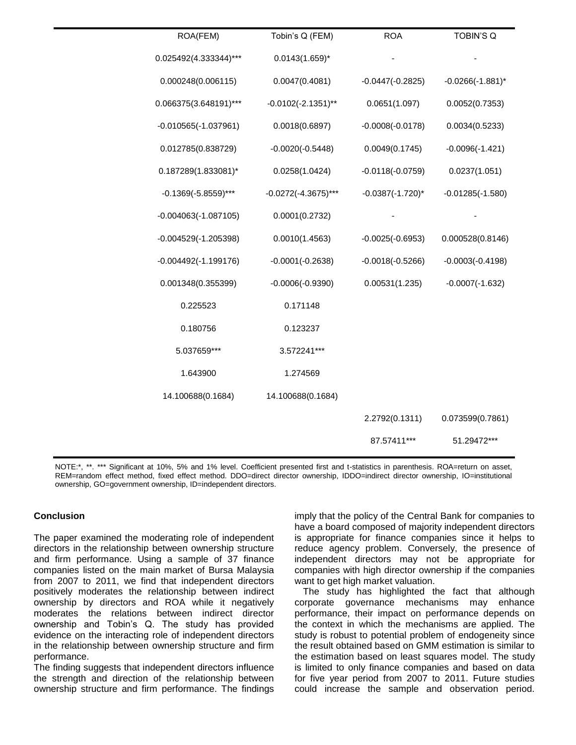| ROA(FEM)               | Tobin's Q (FEM)        | <b>ROA</b>            | <b>TOBIN'S Q</b>      |
|------------------------|------------------------|-----------------------|-----------------------|
| 0.025492(4.333344)***  | $0.0143(1.659)^{*}$    |                       |                       |
| 0.000248(0.006115)     | 0.0047(0.4081)         | $-0.0447(-0.2825)$    | $-0.0266(-1.881)^{*}$ |
| 0.066375(3.648191)***  | $-0.0102(-2.1351)$ **  | 0.0651(1.097)         | 0.0052(0.7353)        |
| $-0.010565(-1.037961)$ | 0.0018(0.6897)         | $-0.0008(-0.0178)$    | 0.0034(0.5233)        |
| 0.012785(0.838729)     | $-0.0020(-0.5448)$     | 0.0049(0.1745)        | $-0.0096(-1.421)$     |
| 0.187289(1.833081)*    | 0.0258(1.0424)         | $-0.0118(-0.0759)$    | 0.0237(1.051)         |
| $-0.1369(-5.8559)$ *** | $-0.0272(-4.3675)$ *** | $-0.0387(-1.720)^{*}$ | $-0.01285(-1.580)$    |
| $-0.004063(-1.087105)$ | 0.0001(0.2732)         |                       |                       |
| $-0.004529(-1.205398)$ | 0.0010(1.4563)         | $-0.0025(-0.6953)$    | 0.000528(0.8146)      |
| $-0.004492(-1.199176)$ | $-0.0001(-0.2638)$     | $-0.0018(-0.5266)$    | $-0.0003(-0.4198)$    |
| 0.001348(0.355399)     | $-0.0006(-0.9390)$     | 0.00531(1.235)        | $-0.0007(-1.632)$     |
| 0.225523               | 0.171148               |                       |                       |
| 0.180756               | 0.123237               |                       |                       |
| 5.037659***            | 3.572241***            |                       |                       |
| 1.643900               | 1.274569               |                       |                       |
| 14.100688(0.1684)      | 14.100688(0.1684)      |                       |                       |
|                        |                        | 2.2792(0.1311)        | 0.073599(0.7861)      |
|                        |                        | 87.57411***           | 51.29472***           |
|                        |                        |                       |                       |

NOTE:\*, \*\*. \*\*\* Significant at 10%, 5% and 1% level. Coefficient presented first and t-statistics in parenthesis. ROA=return on asset, REM=random effect method, fixed effect method. DDO=direct director ownership, IDDO=indirect director ownership, IO=institutional ownership, GO=government ownership, ID=independent directors.

## **Conclusion**

The paper examined the moderating role of independent directors in the relationship between ownership structure and firm performance. Using a sample of 37 finance companies listed on the main market of Bursa Malaysia from 2007 to 2011, we find that independent directors positively moderates the relationship between indirect ownership by directors and ROA while it negatively moderates the relations between indirect director ownership and Tobin's Q. The study has provided evidence on the interacting role of independent directors in the relationship between ownership structure and firm performance.

The finding suggests that independent directors influence the strength and direction of the relationship between ownership structure and firm performance. The findings imply that the policy of the Central Bank for companies to have a board composed of majority independent directors is appropriate for finance companies since it helps to reduce agency problem. Conversely, the presence of independent directors may not be appropriate for companies with high director ownership if the companies want to get high market valuation.

The study has highlighted the fact that although corporate governance mechanisms may enhance performance, their impact on performance depends on the context in which the mechanisms are applied. The study is robust to potential problem of endogeneity since the result obtained based on GMM estimation is similar to the estimation based on least squares model. The study is limited to only finance companies and based on data for five year period from 2007 to 2011. Future studies could increase the sample and observation period.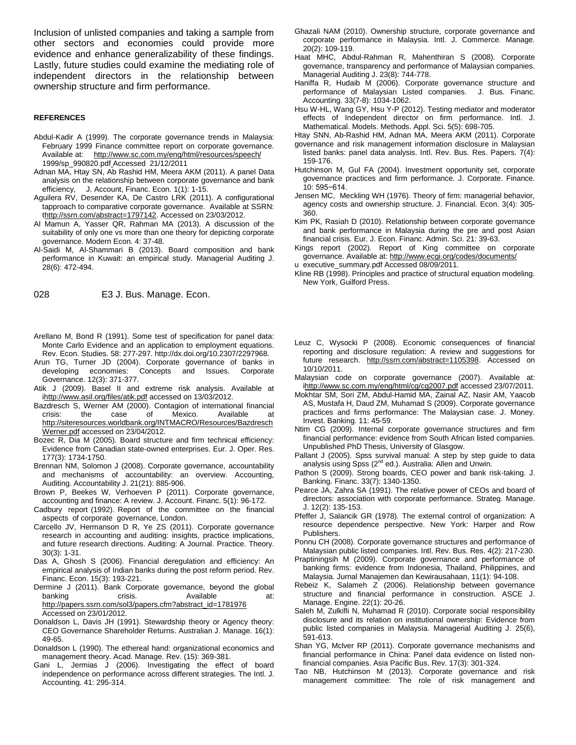Inclusion of unlisted companies and taking a sample from other sectors and economies could provide more evidence and enhance generalizability of these findings. Lastly, future studies could examine the mediating role of independent directors in the relationship between ownership structure and firm performance.

#### **REFERENCES**

- Abdul-Kadir A (1999). The corporate governance trends in Malaysia: February 1999 Finance committee report on corporate governance. Available at: <http://www.sc.com.my/eng/html/resources/speech/> 1999/sp\_990820.pdf Accessed 21/12/2011
- Adnan MA, Htay SN, Ab Rashid HM, Meera AKM (2011). A panel Data analysis on the relationship between corporate governance and bank efficiency, J. Account, Financ. Econ. 1(1): 1-15.
- Aguilera RV, Desender KA, De Castro LRK (2011). A configurational tapproach to comparative corporate governance. Available at SSRN: [thttp://ssrn.com/abstract=1797142.](http://ssrn.com/abstract=1797142) Accessed on 23/03/2012.
- Al Mamun A, Yasser QR, Rahman MA (2013). A discussion of the suitability of only one vs more than one theory for depicting corporate governance. Modern Econ. 4: 37-48.
- Al-Saidi M, Al-Shammari B (2013). Board composition and bank performance in Kuwait: an empirical study. Managerial Auditing J. 28(6): 472-494.

028 E3 J. Bus. Manage. Econ.

- Arellano M, Bond R (1991). Some test of specification for panel data: Monte Carlo Evidence and an application to employment equations. Rev. Econ. Studies. 58: 277-297. http://dx.doi.org/10.2307/2297968.
- Arun TG, Turner JD (2004). Corporate governance of banks in developing economies: Concepts and Issues. Corporate Governance. 12(3): 371-377.
- Atik J (2009). Basel II and extreme risk analysis. Available at [ihttp://www.asil.org/files/atik.pdf](http://www.asil.org/files/atik.pdf) accessed on 13/03/2012.
- Bazdresch S, Werner AM (2000). Contagion of international financial crisis: the case of Mexico. Available at [http://siteresources.worldbank.org/INTMACRO/Resources/Bazdresch](http://siteresources.worldbank.org/INTMACRO/Resources/BazdreschWerner.pdf) [Werner.pdf](http://siteresources.worldbank.org/INTMACRO/Resources/BazdreschWerner.pdf) accessed on 23/04/2012.
- Bozec R, Dia M (2005). Board structure and firm technical efficiency: Evidence from Canadian state-owned enterprises. Eur. J. Oper. Res. 177(3): 1734-1750.
- Brennan NM, Solomon J (2008). Corporate governance, accountability and mechanisms of accountability: an overview. Accounting, Auditing. Accountability J. 21(21): 885-906.
- Brown P, Beekes W, Verhoeven P (2011). Corporate governance, accounting and finance: A review. J. Account. Financ. 5(1): 96-172.
- Cadbury report (1992). Report of the committee on the financial aspects of corporate governance, London.
- Carcello JV, Hermanson D R, Ye ZS (2011). Corporate governance research in accounting and auditing: insights, practice implications, and future research directions. Auditing: A Journal. Practice. Theory. 30(3): 1-31.
- Das A, Ghosh S (2006). Financial deregulation and efficiency: An empirical analysis of Indian banks during the post reform period. Rev. Financ. Econ. 15(3): 193-221.
- Dermine J (2011). Bank Corporate governance, beyond the global<br>banking crisis. Available at: crisis. Available at: [http://papers.ssrn.com/sol3/papers.cfm?abstract\\_id=1781976](http://papers.ssrn.com/sol3/papers.cfm?abstract_id=1781976) Accessed on 23/01/2012.
- Donaldson L, Davis JH (1991). Stewardship theory or Agency theory: CEO Governance Shareholder Returns. Australian J. Manage. 16(1): 49-65.
- Donaldson L (1990). The ethereal hand: organizational economics and management theory. Acad. Manage. Rev. (15): 369-381.
- Gani L, Jermias J (2006). Investigating the effect of board independence on performance across different strategies. The Intl. J. Accounting. 41: 295-314.
- Ghazali NAM (2010). Ownership structure, corporate governance and corporate performance in Malaysia. Intl. J. Commerce. Manage. 20(2): 109-119.
- Haat MHC, Abdul-Rahman R, Mahenthiran S (2008). Corporate governance, transparency and performance of Malaysian companies. Managerial Auditing J. 23(8): 744-778.
- Haniffa R, Hudaib M (2006). Corporate governance structure and performance of Malaysian Listed companies. J. Bus. Financ. Accounting. 33(7-8): 1034-1062.
- Hsu W-HL, Wang GY, Hsu Y-P (2012). Testing mediator and moderator effects of Independent director on firm performance. Intl. J. Mathematical. Models. Methods. Appl. Sci. 5(5): 698-705.

Htay SNN, Ab-Rashid HM, Adnan MA, Meera AKM (2011). Corporate

- governance and risk management information disclosure in Malaysian listed banks: panel data analysis. Intl. Rev. Bus. Res. Papers. 7(4): 159-176.
- Hutchinson M, Gul FA (2004). Investment opportunity set, corporate governance practices and firm performance. J. Corporate. Finance. 10: 595−614.
- Jensen MC, Meckling WH (1976). Theory of firm: managerial behavior, agency costs and ownership structure. J. Financial. Econ. 3(4): 305- 360.
- Kim PK, Rasiah D (2010). Relationship between corporate governance and bank performance in Malaysia during the pre and post Asian financial crisis. Eur. J. Econ. Financ. Admin. Sci. 21: 39-63.
- Kings report (2002). Report of King committee on corporate governance. Available at: <http://www.ecgi.org/codes/documents/>
- u executive\_summary.pdf Accessed 08/09/2011.
- Kline RB (1998). Principles and practice of structural equation modeling. New York, Guilford Press.
- Leuz C, Wysocki P (2008). Economic consequences of financial reporting and disclosure regulation: A review and suggestions for future research. [http://ssrn.com/abstract=1105398.](http://ssrn.com/abstract=1105398) Accessed on 10/10/2011.
- Malaysian code on corporate governance (2007). Available at: [ihttp://www.sc.com.my/eng/html/cg/cg2007.pdf](http://www.sc.com.my/eng/html/cg/cg2007.pdf) accessed 23/07/2011.
- Mokhtar SM, Sori ZM, Abdul-Hamid MA, Zainal AZ, Nasir AM, Yaacob AS, Mustafa H, Daud ZM, Muhamad S (2009). Corporate governance practices and firms performance: The Malaysian case. J. Money. Invest. Banking. 11: 45-59.
- Ntim CG (2009). Internal corporate governance structures and firm financial performance: evidence from South African listed companies. Unpublished PhD Thesis, University of Glasgow.
- Pallant J (2005). Spss survival manual: A step by step guide to data analysis using Spss (2<sup>nd</sup> ed.). Australia: Allen and Unwin.
- Pathon S (2009). Strong boards, CEO power and bank risk-taking. J. Banking. Financ. 33(7): 1340-1350.
- Pearce JA, Zahra SA (1991). The relative power of CEOs and board of directors: association with corporate performance. Strateg. Manage. J. 12(2): 135-153.
- Pfeffer J, Salancik GR (1978). The external control of organization: A resource dependence perspective. New York: Harper and Row Publishers.
- Ponnu CH (2008). Corporate governance structures and performance of Malaysian public listed companies. Intl. Rev. Bus. Res. 4(2): 217-230.
- Praptiningsih M (2009). Corporate governance and performance of banking firms: evidence from Indonesia, Thailand, Philippines, and Malaysia. Jurnal Manajemen dan Kewirausahaan, 11(1): 94-108.
- Rebeiz K, Salameh Z (2006). Relationship between governance structure and financial performance in construction. ASCE J. Manage. Engine. 22(1): 20-26.
- Saleh M, Zulkifli N, Muhamad R (2010). Corporate social responsibility disclosure and its relation on institutional ownership: Evidence from public listed companies in Malaysia. Managerial Auditing J. 25(6), 591-613.
- Shan YG, Mclver RP (2011). Corporate governance mechanisms and financial performance in China: Panel data evidence on listed nonfinancial companies. Asia Pacific Bus. Rev. 17(3): 301-324.
- Tao NB, Hutchinson M (2013). Corporate governance and risk management committee: The role of risk management and